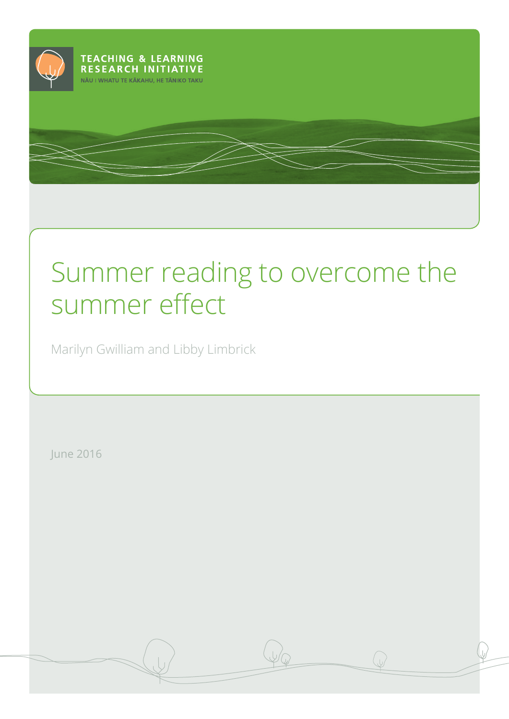

# Summer reading to overcome the summer effect

Marilyn Gwilliam and Libby Limbrick

June 2016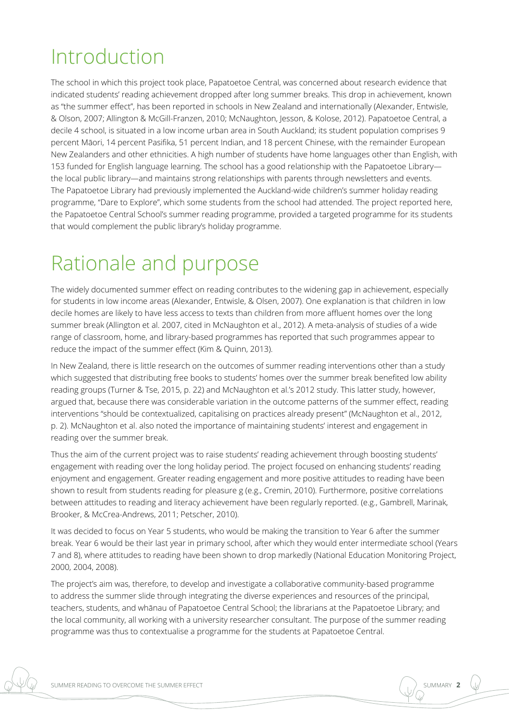## Introduction

The school in which this project took place, Papatoetoe Central, was concerned about research evidence that indicated students' reading achievement dropped after long summer breaks. This drop in achievement, known as "the summer effect", has been reported in schools in New Zealand and internationally (Alexander, Entwisle, & Olson, 2007; Allington & McGill-Franzen, 2010; McNaughton, Jesson, & Kolose, 2012). Papatoetoe Central, a decile 4 school, is situated in a low income urban area in South Auckland; its student population comprises 9 percent Māori, 14 percent Pasifika, 51 percent Indian, and 18 percent Chinese, with the remainder European New Zealanders and other ethnicities. A high number of students have home languages other than English, with 153 funded for English language learning. The school has a good relationship with the Papatoetoe Library the local public library—and maintains strong relationships with parents through newsletters and events. The Papatoetoe Library had previously implemented the Auckland-wide children's summer holiday reading programme, "Dare to Explore", which some students from the school had attended. The project reported here, the Papatoetoe Central School's summer reading programme, provided a targeted programme for its students that would complement the public library's holiday programme.

## Rationale and purpose

The widely documented summer effect on reading contributes to the widening gap in achievement, especially for students in low income areas (Alexander, Entwisle, & Olsen, 2007). One explanation is that children in low decile homes are likely to have less access to texts than children from more affluent homes over the long summer break (Allington et al. 2007, cited in McNaughton et al., 2012). A meta-analysis of studies of a wide range of classroom, home, and library-based programmes has reported that such programmes appear to reduce the impact of the summer effect (Kim & Quinn, 2013).

In New Zealand, there is little research on the outcomes of summer reading interventions other than a study which suggested that distributing free books to students' homes over the summer break benefited low ability reading groups (Turner & Tse, 2015, p. 22) and McNaughton et al.'s 2012 study. This latter study, however, argued that, because there was considerable variation in the outcome patterns of the summer effect, reading interventions "should be contextualized, capitalising on practices already present" (McNaughton et al., 2012, p. 2). McNaughton et al. also noted the importance of maintaining students' interest and engagement in reading over the summer break.

Thus the aim of the current project was to raise students' reading achievement through boosting students' engagement with reading over the long holiday period. The project focused on enhancing students' reading enjoyment and engagement. Greater reading engagement and more positive attitudes to reading have been shown to result from students reading for pleasure g (e.g., Cremin, 2010). Furthermore, positive correlations between attitudes to reading and literacy achievement have been regularly reported. (e.g., Gambrell, Marinak, Brooker, & McCrea-Andrews, 2011; Petscher, 2010).

It was decided to focus on Year 5 students, who would be making the transition to Year 6 after the summer break. Year 6 would be their last year in primary school, after which they would enter intermediate school (Years 7 and 8), where attitudes to reading have been shown to drop markedly (National Education Monitoring Project, 2000, 2004, 2008).

The project's aim was, therefore, to develop and investigate a collaborative community-based programme to address the summer slide through integrating the diverse experiences and resources of the principal, teachers, students, and whānau of Papatoetoe Central School; the librarians at the Papatoetoe Library; and the local community, all working with a university researcher consultant. The purpose of the summer reading programme was thus to contextualise a programme for the students at Papatoetoe Central.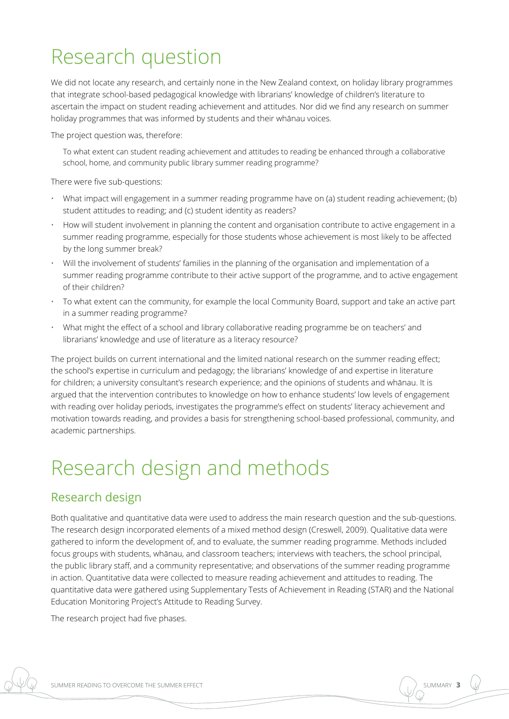## Research question

We did not locate any research, and certainly none in the New Zealand context, on holiday library programmes that integrate school-based pedagogical knowledge with librarians' knowledge of children's literature to ascertain the impact on student reading achievement and attitudes. Nor did we find any research on summer holiday programmes that was informed by students and their whānau voices*.*

The project question was, therefore:

To what extent can student reading achievement and attitudes to reading be enhanced through a collaborative school, home, and community public library summer reading programme?

There were five sub-questions:

- What impact will engagement in a summer reading programme have on (a) student reading achievement; (b) student attitudes to reading; and (c) student identity as readers?
- How will student involvement in planning the content and organisation contribute to active engagement in a summer reading programme, especially for those students whose achievement is most likely to be affected by the long summer break?
- Will the involvement of students' families in the planning of the organisation and implementation of a summer reading programme contribute to their active support of the programme, and to active engagement of their children?
- To what extent can the community, for example the local Community Board, support and take an active part in a summer reading programme?
- What might the effect of a school and library collaborative reading programme be on teachers' and librarians' knowledge and use of literature as a literacy resource?

The project builds on current international and the limited national research on the summer reading effect; the school's expertise in curriculum and pedagogy; the librarians' knowledge of and expertise in literature for children; a university consultant's research experience; and the opinions of students and whānau. It is argued that the intervention contributes to knowledge on how to enhance students' low levels of engagement with reading over holiday periods, investigates the programme's effect on students' literacy achievement and motivation towards reading, and provides a basis for strengthening school-based professional, community, and academic partnerships.

## Research design and methods

#### Research design

Both qualitative and quantitative data were used to address the main research question and the sub-questions. The research design incorporated elements of a mixed method design (Creswell, 2009). Qualitative data were gathered to inform the development of, and to evaluate, the summer reading programme. Methods included focus groups with students, whānau, and classroom teachers; interviews with teachers, the school principal, the public library staff, and a community representative; and observations of the summer reading programme in action. Quantitative data were collected to measure reading achievement and attitudes to reading. The quantitative data were gathered using Supplementary Tests of Achievement in Reading (STAR) and the National Education Monitoring Project's Attitude to Reading Survey.

The research project had five phases.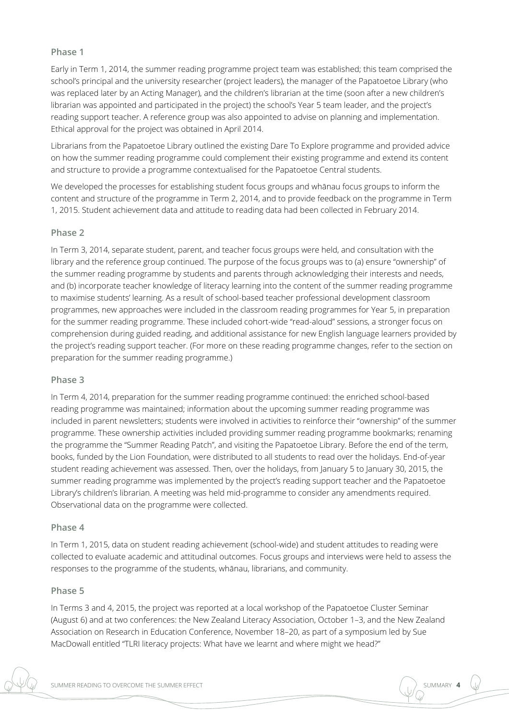#### **Phase 1**

Early in Term 1, 2014, the summer reading programme project team was established; this team comprised the school's principal and the university researcher (project leaders), the manager of the Papatoetoe Library (who was replaced later by an Acting Manager), and the children's librarian at the time (soon after a new children's librarian was appointed and participated in the project) the school's Year 5 team leader, and the project's reading support teacher. A reference group was also appointed to advise on planning and implementation. Ethical approval for the project was obtained in April 2014.

Librarians from the Papatoetoe Library outlined the existing Dare To Explore programme and provided advice on how the summer reading programme could complement their existing programme and extend its content and structure to provide a programme contextualised for the Papatoetoe Central students.

We developed the processes for establishing student focus groups and whānau focus groups to inform the content and structure of the programme in Term 2, 2014, and to provide feedback on the programme in Term 1, 2015. Student achievement data and attitude to reading data had been collected in February 2014.

#### **Phase 2**

In Term 3, 2014, separate student, parent, and teacher focus groups were held, and consultation with the library and the reference group continued. The purpose of the focus groups was to (a) ensure "ownership" of the summer reading programme by students and parents through acknowledging their interests and needs, and (b) incorporate teacher knowledge of literacy learning into the content of the summer reading programme to maximise students' learning. As a result of school-based teacher professional development classroom programmes, new approaches were included in the classroom reading programmes for Year 5, in preparation for the summer reading programme. These included cohort-wide "read-aloud" sessions, a stronger focus on comprehension during guided reading, and additional assistance for new English language learners provided by the project's reading support teacher. (For more on these reading programme changes, refer to the section on preparation for the summer reading programme.)

#### **Phase 3**

In Term 4, 2014, preparation for the summer reading programme continued: the enriched school-based reading programme was maintained; information about the upcoming summer reading programme was included in parent newsletters; students were involved in activities to reinforce their "ownership" of the summer programme. These ownership activities included providing summer reading programme bookmarks; renaming the programme the "Summer Reading Patch", and visiting the Papatoetoe Library. Before the end of the term, books, funded by the Lion Foundation, were distributed to all students to read over the holidays. End-of-year student reading achievement was assessed. Then, over the holidays, from January 5 to January 30, 2015, the summer reading programme was implemented by the project's reading support teacher and the Papatoetoe Library's children's librarian. A meeting was held mid-programme to consider any amendments required. Observational data on the programme were collected.

#### **Phase 4**

In Term 1, 2015, data on student reading achievement (school-wide) and student attitudes to reading were collected to evaluate academic and attitudinal outcomes. Focus groups and interviews were held to assess the responses to the programme of the students, whānau, librarians, and community.

#### **Phase 5**

In Terms 3 and 4, 2015, the project was reported at a local workshop of the Papatoetoe Cluster Seminar (August 6) and at two conferences: the New Zealand Literacy Association, October 1–3, and the New Zealand Association on Research in Education Conference, November 18–20, as part of a symposium led by Sue MacDowall entitled "TLRI literacy projects: What have we learnt and where might we head?"

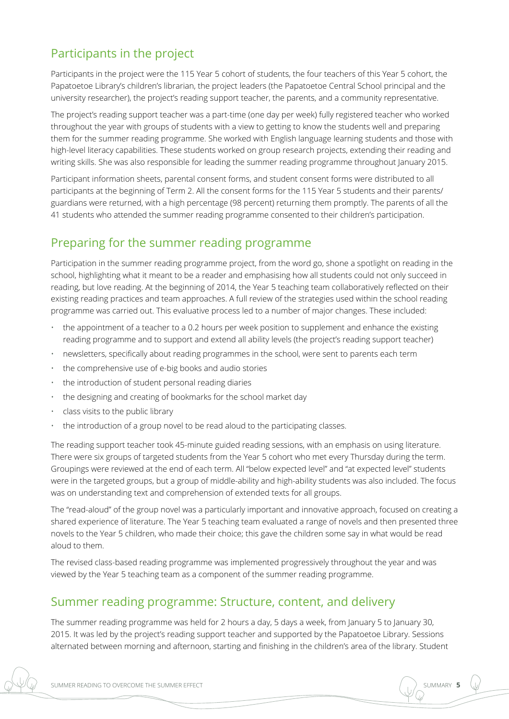## Participants in the project

Participants in the project were the 115 Year 5 cohort of students, the four teachers of this Year 5 cohort, the Papatoetoe Library's children's librarian, the project leaders (the Papatoetoe Central School principal and the university researcher), the project's reading support teacher, the parents, and a community representative.

The project's reading support teacher was a part-time (one day per week) fully registered teacher who worked throughout the year with groups of students with a view to getting to know the students well and preparing them for the summer reading programme. She worked with English language learning students and those with high-level literacy capabilities. These students worked on group research projects, extending their reading and writing skills. She was also responsible for leading the summer reading programme throughout January 2015.

Participant information sheets, parental consent forms, and student consent forms were distributed to all participants at the beginning of Term 2. All the consent forms for the 115 Year 5 students and their parents/ guardians were returned, with a high percentage (98 percent) returning them promptly. The parents of all the 41 students who attended the summer reading programme consented to their children's participation.

### Preparing for the summer reading programme

Participation in the summer reading programme project, from the word go, shone a spotlight on reading in the school, highlighting what it meant to be a reader and emphasising how all students could not only succeed in reading, but love reading. At the beginning of 2014, the Year 5 teaching team collaboratively reflected on their existing reading practices and team approaches. A full review of the strategies used within the school reading programme was carried out. This evaluative process led to a number of major changes. These included:

- the appointment of a teacher to a 0.2 hours per week position to supplement and enhance the existing reading programme and to support and extend all ability levels (the project's reading support teacher)
- newsletters, specifically about reading programmes in the school, were sent to parents each term
- the comprehensive use of e-big books and audio stories
- the introduction of student personal reading diaries
- the designing and creating of bookmarks for the school market day
- class visits to the public library
- the introduction of a group novel to be read aloud to the participating classes.

The reading support teacher took 45-minute guided reading sessions, with an emphasis on using literature. There were six groups of targeted students from the Year 5 cohort who met every Thursday during the term. Groupings were reviewed at the end of each term. All "below expected level" and "at expected level" students were in the targeted groups, but a group of middle-ability and high-ability students was also included. The focus was on understanding text and comprehension of extended texts for all groups.

The "read-aloud" of the group novel was a particularly important and innovative approach, focused on creating a shared experience of literature. The Year 5 teaching team evaluated a range of novels and then presented three novels to the Year 5 children, who made their choice; this gave the children some say in what would be read aloud to them.

The revised class-based reading programme was implemented progressively throughout the year and was viewed by the Year 5 teaching team as a component of the summer reading programme.

#### Summer reading programme: Structure, content, and delivery

The summer reading programme was held for 2 hours a day, 5 days a week, from January 5 to January 30, 2015. It was led by the project's reading support teacher and supported by the Papatoetoe Library. Sessions alternated between morning and afternoon, starting and finishing in the children's area of the library. Student

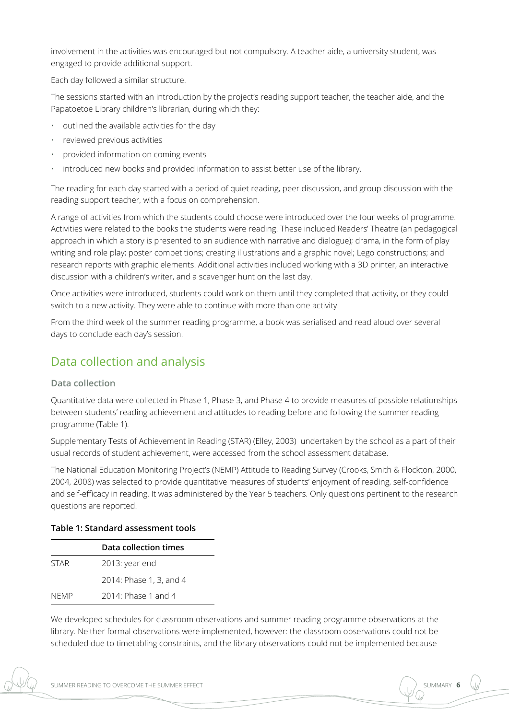involvement in the activities was encouraged but not compulsory. A teacher aide, a university student, was engaged to provide additional support.

Each day followed a similar structure.

The sessions started with an introduction by the project's reading support teacher, the teacher aide, and the Papatoetoe Library children's librarian, during which they:

- outlined the available activities for the day
- reviewed previous activities
- provided information on coming events
- introduced new books and provided information to assist better use of the library.

The reading for each day started with a period of quiet reading, peer discussion, and group discussion with the reading support teacher, with a focus on comprehension.

A range of activities from which the students could choose were introduced over the four weeks of programme. Activities were related to the books the students were reading. These included Readers' Theatre (an pedagogical approach in which a story is presented to an audience with narrative and dialogue); drama, in the form of play writing and role play; poster competitions; creating illustrations and a graphic novel; Lego constructions; and research reports with graphic elements. Additional activities included working with a 3D printer, an interactive discussion with a children's writer, and a scavenger hunt on the last day.

Once activities were introduced, students could work on them until they completed that activity, or they could switch to a new activity. They were able to continue with more than one activity.

From the third week of the summer reading programme, a book was serialised and read aloud over several days to conclude each day's session.

### Data collection and analysis

#### **Data collection**

Quantitative data were collected in Phase 1, Phase 3, and Phase 4 to provide measures of possible relationships between students' reading achievement and attitudes to reading before and following the summer reading programme (Table 1).

Supplementary Tests of Achievement in Reading (STAR) (Elley, 2003) undertaken by the school as a part of their usual records of student achievement, were accessed from the school assessment database.

The National Education Monitoring Project's (NEMP) Attitude to Reading Survey (Crooks, Smith & Flockton, 2000, 2004, 2008) was selected to provide quantitative measures of students' enjoyment of reading, self-confidence and self-efficacy in reading. It was administered by the Year 5 teachers. Only questions pertinent to the research questions are reported.

#### **Table 1: Standard assessment tools**

|             | Data collection times   |  |  |
|-------------|-------------------------|--|--|
| <b>STAR</b> | 2013: year end          |  |  |
|             | 2014: Phase 1, 3, and 4 |  |  |
| <b>NFMP</b> | $2014$ Phase 1 and 4    |  |  |

We developed schedules for classroom observations and summer reading programme observations at the library. Neither formal observations were implemented, however: the classroom observations could not be scheduled due to timetabling constraints, and the library observations could not be implemented because

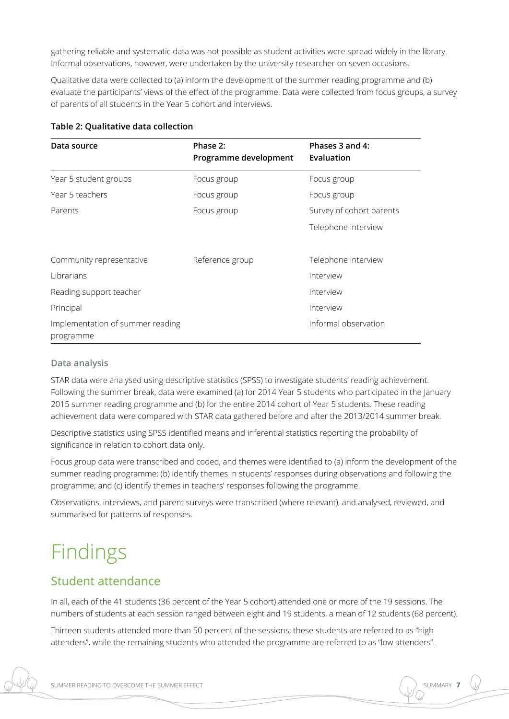gathering reliable and systematic data was not possible as student activities were spread widely in the library. Informal observations, however, were undertaken by the university researcher on seven occasions.

Qualitative data were collected to (a) inform the development of the summer reading programme and (b) evaluate the participants' views of the effect of the programme. Data were collected from focus groups, a survey of parents of all students in the Year 5 cohort and interviews.

| Data source                                   | Phase 2:<br>Programme development | Phases 3 and 4:<br>Evaluation |
|-----------------------------------------------|-----------------------------------|-------------------------------|
| Year 5 student groups                         | Focus group                       | Focus group                   |
| Year 5 teachers                               | Focus group                       | Focus group                   |
| Parents                                       | Focus group                       | Survey of cohort parents      |
|                                               |                                   | Telephone interview           |
|                                               |                                   |                               |
| Community representative                      | Reference group                   | Telephone interview           |
| Librarians                                    |                                   | Interview                     |
| Reading support teacher                       |                                   | Interview                     |
| Principal                                     |                                   | Interview                     |
| Implementation of summer reading<br>programme |                                   | Informal observation          |

#### **Table 2: Qualitative data collection**

#### **Data analysis**

STAR data were analysed using descriptive statistics (SPSS) to investigate students' reading achievement. Following the summer break, data were examined (a) for 2014 Year 5 students who participated in the January 2015 summer reading programme and (b) for the entire 2014 cohort of Year 5 students. These reading achievement data were compared with STAR data gathered before and after the 2013/2014 summer break.

Descriptive statistics using SPSS identified means and inferential statistics reporting the probability of significance in relation to cohort data only.

Focus group data were transcribed and coded, and themes were identified to (a) inform the development of the summer reading programme; (b) identify themes in students' responses during observations and following the programme; and (c) identify themes in teachers' responses following the programme.

Observations, interviews, and parent surveys were transcribed (where relevant), and analysed, reviewed, and summarised for patterns of responses.

## Findings

### Student attendance

In all, each of the 41 students (36 percent of the Year 5 cohort) attended one or more of the 19 sessions. The numbers of students at each session ranged between eight and 19 students, a mean of 12 students (68 percent).

Thirteen students attended more than 50 percent of the sessions; these students are referred to as "high attenders", while the remaining students who attended the programme are referred to as "low attenders".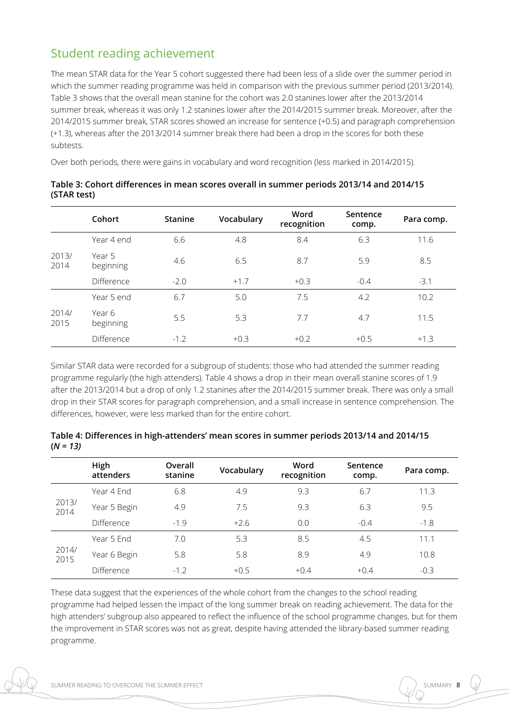## Student reading achievement

The mean STAR data for the Year 5 cohort suggested there had been less of a slide over the summer period in which the summer reading programme was held in comparison with the previous summer period (2013/2014). Table 3 shows that the overall mean stanine for the cohort was 2.0 stanines lower after the 2013/2014 summer break, whereas it was only 1.2 stanines lower after the 2014/2015 summer break. Moreover, after the 2014/2015 summer break, STAR scores showed an increase for sentence (+0.5) and paragraph comprehension (+1.3), whereas after the 2013/2014 summer break there had been a drop in the scores for both these subtests.

Over both periods, there were gains in vocabulary and word recognition (less marked in 2014/2015).

|               | Cohort              | <b>Stanine</b> | Vocabulary | Word<br>recognition | Sentence<br>comp. | Para comp. |
|---------------|---------------------|----------------|------------|---------------------|-------------------|------------|
|               | Year 4 end          | 6.6            | 4.8        | 8.4                 | 6.3               | 11.6       |
| 2013/<br>2014 | Year 5<br>beginning | 4.6            | 6.5        | 8.7                 | 5.9               | 8.5        |
|               | Difference          | $-2.0$         | $+1.7$     | $+0.3$              | $-0.4$            | $-3.1$     |
| 2014/<br>2015 | Year 5 end          | 6.7            | 5.0        | 7.5                 | 4.2               | 10.2       |
|               | Year 6<br>beginning | 5.5            | 5.3        | 7.7                 | 4.7               | 11.5       |
|               | Difference          | $-1.2$         | $+0.3$     | $+0.2$              | $+0.5$            | $+1.3$     |

**Table 3: Cohort differences in mean scores overall in summer periods 2013/14 and 2014/15 (STAR test)**

Similar STAR data were recorded for a subgroup of students: those who had attended the summer reading programme regularly (the high attenders). Table 4 shows a drop in their mean overall stanine scores of 1.9 after the 2013/2014 but a drop of only 1.2 stanines after the 2014/2015 summer break. There was only a small drop in their STAR scores for paragraph comprehension, and a small increase in sentence comprehension. The differences, however, were less marked than for the entire cohort.

| Table 4: Differences in high-attenders' mean scores in summer periods 2013/14 and 2014/15 |  |
|-------------------------------------------------------------------------------------------|--|
| $(N = 13)$                                                                                |  |

|               | High<br>attenders | Overall<br>stanine | Vocabulary | Word<br>recognition | Sentence<br>comp. | Para comp. |
|---------------|-------------------|--------------------|------------|---------------------|-------------------|------------|
| 2013/<br>2014 | Year 4 End        | 6.8                | 4.9        | 9.3                 | 6.7               | 11.3       |
|               | Year 5 Begin      | 4.9                | 7.5        | 9.3                 | 6.3               | 9.5        |
|               | <b>Difference</b> | $-1.9$             | $+2.6$     | 0.0                 | $-0.4$            | $-1.8$     |
| 2014/<br>2015 | Year 5 End        | 7.0                | 5.3        | 8.5                 | 4.5               | 11.1       |
|               | Year 6 Begin      | 5.8                | 5.8        | 8.9                 | 4.9               | 10.8       |
|               | Difference        | $-1.2$             | $+0.5$     | $+0.4$              | $+0.4$            | $-0.3$     |

These data suggest that the experiences of the whole cohort from the changes to the school reading programme had helped lessen the impact of the long summer break on reading achievement. The data for the high attenders' subgroup also appeared to reflect the influence of the school programme changes, but for them the improvement in STAR scores was not as great, despite having attended the library-based summer reading programme.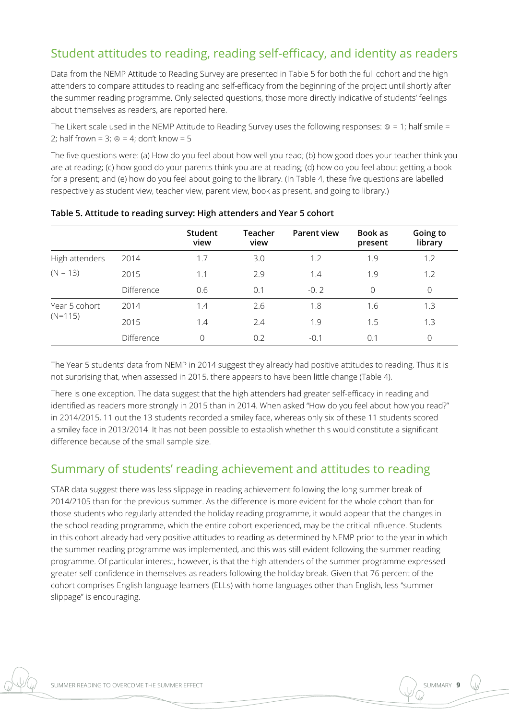## Student attitudes to reading, reading self-efficacy, and identity as readers

Data from the NEMP Attitude to Reading Survey are presented in Table 5 for both the full cohort and the high attenders to compare attitudes to reading and self-efficacy from the beginning of the project until shortly after the summer reading programme. Only selected questions, those more directly indicative of students' feelings about themselves as readers, are reported here.

The Likert scale used in the NEMP Attitude to Reading Survey uses the following responses:  $@ = 1;$  half smile = 2; half frown = 3;  $\circledcirc$  = 4; don't know = 5

The five questions were: (a) How do you feel about how well you read; (b) how good does your teacher think you are at reading; (c) how good do your parents think you are at reading; (d) how do you feel about getting a book for a present; and (e) how do you feel about going to the library. (In Table 4, these five questions are labelled respectively as student view, teacher view, parent view, book as present, and going to library.)

|                |            | Student<br>view | <b>Teacher</b><br>view | <b>Parent view</b> | Book as<br>present | Going to<br>library |
|----------------|------------|-----------------|------------------------|--------------------|--------------------|---------------------|
| High attenders | 2014       | 1.7             | 3.0                    | 1.2                | 1.9                | 1.2                 |
| $(N = 13)$     | 2015       | 1.1             | 2.9                    | 1.4                | 1.9                | 1.2                 |
|                | Difference | 0.6             | 0.1                    | $-0.2$             | $\Omega$           | $\overline{0}$      |
| Year 5 cohort  | 2014       | 1.4             | 2.6                    | 1.8                | 1.6                | 1.3                 |
| $(N=115)$      | 2015       | 1.4             | 2.4                    | 1.9                | 1.5                | 1.3                 |
|                | Difference | $\Omega$        | 0.2                    | $-0.1$             | 0.1                | $\Omega$            |

**Table 5. Attitude to reading survey: High attenders and Year 5 cohort** 

The Year 5 students' data from NEMP in 2014 suggest they already had positive attitudes to reading. Thus it is not surprising that, when assessed in 2015, there appears to have been little change (Table 4).

There is one exception. The data suggest that the high attenders had greater self-efficacy in reading and identified as readers more strongly in 2015 than in 2014. When asked "How do you feel about how you read?" in 2014/2015, 11 out the 13 students recorded a smiley face, whereas only six of these 11 students scored a smiley face in 2013/2014. It has not been possible to establish whether this would constitute a significant difference because of the small sample size.

### Summary of students' reading achievement and attitudes to reading

STAR data suggest there was less slippage in reading achievement following the long summer break of 2014/2105 than for the previous summer. As the difference is more evident for the whole cohort than for those students who regularly attended the holiday reading programme, it would appear that the changes in the school reading programme, which the entire cohort experienced, may be the critical influence. Students in this cohort already had very positive attitudes to reading as determined by NEMP prior to the year in which the summer reading programme was implemented, and this was still evident following the summer reading programme. Of particular interest, however, is that the high attenders of the summer programme expressed greater self-confidence in themselves as readers following the holiday break. Given that 76 percent of the cohort comprises English language learners (ELLs) with home languages other than English, less "summer slippage" is encouraging.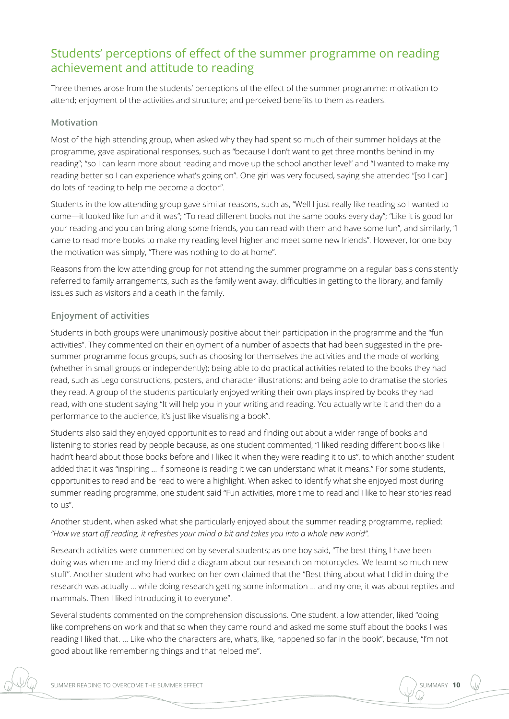### Students' perceptions of effect of the summer programme on reading achievement and attitude to reading

Three themes arose from the students' perceptions of the effect of the summer programme: motivation to attend; enjoyment of the activities and structure; and perceived benefits to them as readers.

#### **Motivation**

Most of the high attending group, when asked why they had spent so much of their summer holidays at the programme, gave aspirational responses, such as "because I don't want to get three months behind in my reading"; "so I can learn more about reading and move up the school another level" and "I wanted to make my reading better so I can experience what's going on". One girl was very focused, saying she attended "[so I can] do lots of reading to help me become a doctor".

Students in the low attending group gave similar reasons, such as, "Well I just really like reading so I wanted to come—it looked like fun and it was"; "To read different books not the same books every day"; "Like it is good for your reading and you can bring along some friends, you can read with them and have some fun", and similarly, "I came to read more books to make my reading level higher and meet some new friends". However, for one boy the motivation was simply, "There was nothing to do at home".

Reasons from the low attending group for not attending the summer programme on a regular basis consistently referred to family arrangements, such as the family went away, difficulties in getting to the library, and family issues such as visitors and a death in the family.

#### **Enjoyment of activities**

Students in both groups were unanimously positive about their participation in the programme and the "fun activities". They commented on their enjoyment of a number of aspects that had been suggested in the presummer programme focus groups, such as choosing for themselves the activities and the mode of working (whether in small groups or independently); being able to do practical activities related to the books they had read, such as Lego constructions, posters, and character illustrations; and being able to dramatise the stories they read. A group of the students particularly enjoyed writing their own plays inspired by books they had read, with one student saying "It will help you in your writing and reading. You actually write it and then do a performance to the audience, it's just like visualising a book".

Students also said they enjoyed opportunities to read and finding out about a wider range of books and listening to stories read by people because, as one student commented, "I liked reading different books like I hadn't heard about those books before and I liked it when they were reading it to us", to which another student added that it was "inspiring … if someone is reading it we can understand what it means." For some students, opportunities to read and be read to were a highlight. When asked to identify what she enjoyed most during summer reading programme, one student said "Fun activities, more time to read and I like to hear stories read to us".

Another student, when asked what she particularly enjoyed about the summer reading programme, replied: *"How we start off reading, it refreshes your mind a bit and takes you into a whole new world".* 

Research activities were commented on by several students; as one boy said, "The best thing I have been doing was when me and my friend did a diagram about our research on motorcycles. We learnt so much new stuff". Another student who had worked on her own claimed that the "Best thing about what I did in doing the research was actually … while doing research getting some information … and my one, it was about reptiles and mammals. Then I liked introducing it to everyone".

Several students commented on the comprehension discussions. One student, a low attender, liked "doing like comprehension work and that so when they came round and asked me some stuff about the books I was reading I liked that. … Like who the characters are, what's, like, happened so far in the book", because, "I'm not good about like remembering things and that helped me".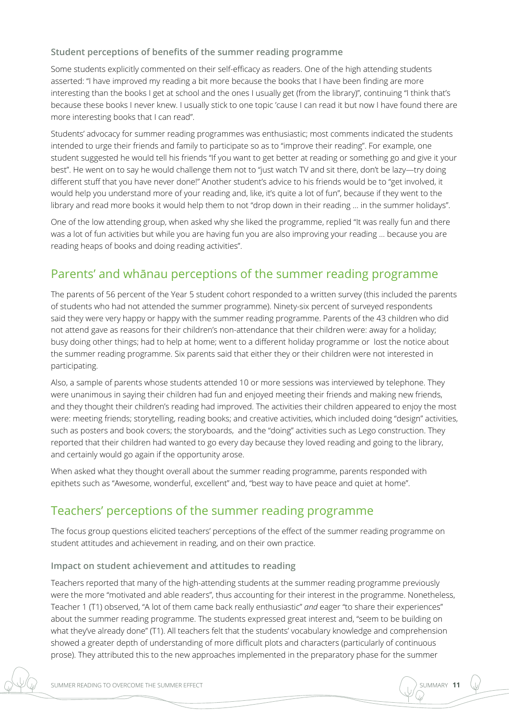#### **Student perceptions of benefits of the summer reading programme**

Some students explicitly commented on their self-efficacy as readers. One of the high attending students asserted: "I have improved my reading a bit more because the books that I have been finding are more interesting than the books I get at school and the ones I usually get (from the library)", continuing "I think that's because these books I never knew. I usually stick to one topic 'cause I can read it but now I have found there are more interesting books that I can read".

Students' advocacy for summer reading programmes was enthusiastic; most comments indicated the students intended to urge their friends and family to participate so as to "improve their reading". For example, one student suggested he would tell his friends "If you want to get better at reading or something go and give it your best". He went on to say he would challenge them not to "just watch TV and sit there, don't be lazy—try doing different stuff that you have never done!" Another student's advice to his friends would be to "get involved, it would help you understand more of your reading and, like, it's quite a lot of fun", because if they went to the library and read more books it would help them to not "drop down in their reading … in the summer holidays".

One of the low attending group, when asked why she liked the programme, replied "It was really fun and there was a lot of fun activities but while you are having fun you are also improving your reading … because you are reading heaps of books and doing reading activities".

### Parents' and whānau perceptions of the summer reading programme

The parents of 56 percent of the Year 5 student cohort responded to a written survey (this included the parents of students who had not attended the summer programme). Ninety-six percent of surveyed respondents said they were very happy or happy with the summer reading programme. Parents of the 43 children who did not attend gave as reasons for their children's non-attendance that their children were: away for a holiday; busy doing other things; had to help at home; went to a different holiday programme or lost the notice about the summer reading programme. Six parents said that either they or their children were not interested in participating.

Also, a sample of parents whose students attended 10 or more sessions was interviewed by telephone. They were unanimous in saying their children had fun and enjoyed meeting their friends and making new friends, and they thought their children's reading had improved. The activities their children appeared to enjoy the most were: meeting friends; storytelling, reading books; and creative activities, which included doing "design" activities, such as posters and book covers; the storyboards, and the "doing" activities such as Lego construction. They reported that their children had wanted to go every day because they loved reading and going to the library, and certainly would go again if the opportunity arose.

When asked what they thought overall about the summer reading programme, parents responded with epithets such as "Awesome, wonderful, excellent" and, "best way to have peace and quiet at home".

### Teachers' perceptions of the summer reading programme

The focus group questions elicited teachers' perceptions of the effect of the summer reading programme on student attitudes and achievement in reading, and on their own practice.

#### **Impact on student achievement and attitudes to reading**

Teachers reported that many of the high-attending students at the summer reading programme previously were the more "motivated and able readers", thus accounting for their interest in the programme. Nonetheless, Teacher 1 (T1) observed, "A lot of them came back really enthusiastic" *and* eager "to share their experiences" about the summer reading programme. The students expressed great interest and, "seem to be building on what they've already done" (T1). All teachers felt that the students' vocabulary knowledge and comprehension showed a greater depth of understanding of more difficult plots and characters (particularly of continuous prose). They attributed this to the new approaches implemented in the preparatory phase for the summer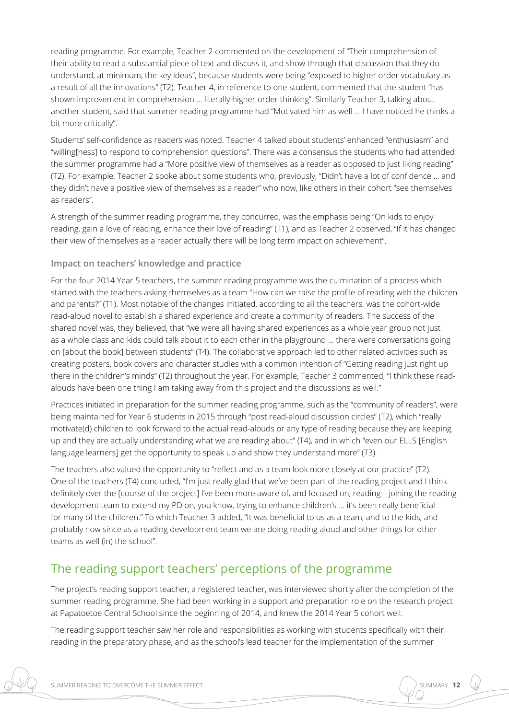reading programme. For example, Teacher 2 commented on the development of "Their comprehension of their ability to read a substantial piece of text and discuss it, and show through that discussion that they do understand, at minimum, the key ideas", because students were being "exposed to higher order vocabulary as a result of all the innovations" (T2). Teacher 4, in reference to one student, commented that the student "has shown improvement in comprehension … literally higher order thinking". Similarly Teacher 3, talking about another student, said that summer reading programme had "Motivated him as well ... I have noticed he thinks a bit more critically".

Students' self-confidence as readers was noted. Teacher 4 talked about students' enhanced "enthusiasm" and "willing[ness] to respond to comprehension questions". There was a consensus the students who had attended the summer programme had a "More positive view of themselves as a reader as opposed to just liking reading" (T2). For example, Teacher 2 spoke about some students who, previously, "Didn't have a lot of confidence … and they didn't have a positive view of themselves as a reader" who now, like others in their cohort "see themselves as readers".

A strength of the summer reading programme, they concurred, was the emphasis being "On kids to enjoy reading, gain a love of reading, enhance their love of reading" (T1), and as Teacher 2 observed, "If it has changed their view of themselves as a reader actually there will be long term impact on achievement".

#### **Impact on teachers' knowledge and practice**

For the four 2014 Year 5 teachers, the summer reading programme was the culmination of a process which started with the teachers asking themselves as a team "How can we raise the profile of reading with the children and parents?" (T1). Most notable of the changes initiated, according to all the teachers, was the cohort-wide read-aloud novel to establish a shared experience and create a community of readers. The success of the shared novel was, they believed, that "we were all having shared experiences as a whole year group not just as a whole class and kids could talk about it to each other in the playground … there were conversations going on [about the book] between students" (T4). The collaborative approach led to other related activities such as creating posters, book covers and character studies with a common intention of "Getting reading just right up there in the children's minds" (T2) throughout the year. For example, Teacher 3 commented, "I think these readalouds have been one thing I am taking away from this project and the discussions as well."

Practices initiated in preparation for the summer reading programme, such as the "community of readers", were being maintained for Year 6 students in 2015 through "post read-aloud discussion circles" (T2), which "really motivate(d) children to look forward to the actual read-alouds or any type of reading because they are keeping up and they are actually understanding what we are reading about" (T4), and in which "even our ELLS [English language learners] get the opportunity to speak up and show they understand more" (T3).

The teachers also valued the opportunity to "reflect and as a team look more closely at our practice" (T2). One of the teachers (T4) concluded, "I'm just really glad that we've been part of the reading project and I think definitely over the [course of the project] I've been more aware of, and focused on, reading—joining the reading development team to extend my PD on, you know, trying to enhance children's … it's been really beneficial for many of the children." To which Teacher 3 added, "It was beneficial to us as a team, and to the kids, and probably now since as a reading development team we are doing reading aloud and other things for other teams as well (in) the school".

## The reading support teachers' perceptions of the programme

The project's reading support teacher, a registered teacher, was interviewed shortly after the completion of the summer reading programme. She had been working in a support and preparation role on the research project at Papatoetoe Central School since the beginning of 2014, and knew the 2014 Year 5 cohort well.

The reading support teacher saw her role and responsibilities as working with students specifically with their reading in the preparatory phase, and as the school's lead teacher for the implementation of the summer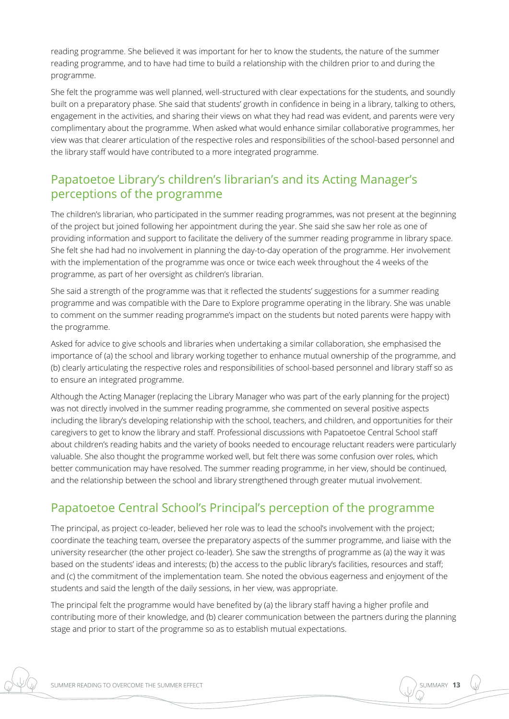reading programme. She believed it was important for her to know the students, the nature of the summer reading programme, and to have had time to build a relationship with the children prior to and during the programme.

She felt the programme was well planned, well-structured with clear expectations for the students, and soundly built on a preparatory phase. She said that students' growth in confidence in being in a library, talking to others, engagement in the activities, and sharing their views on what they had read was evident, and parents were very complimentary about the programme. When asked what would enhance similar collaborative programmes, her view was that clearer articulation of the respective roles and responsibilities of the school-based personnel and the library staff would have contributed to a more integrated programme.

### Papatoetoe Library's children's librarian's and its Acting Manager's perceptions of the programme

The children's librarian, who participated in the summer reading programmes, was not present at the beginning of the project but joined following her appointment during the year. She said she saw her role as one of providing information and support to facilitate the delivery of the summer reading programme in library space. She felt she had had no involvement in planning the day-to-day operation of the programme. Her involvement with the implementation of the programme was once or twice each week throughout the 4 weeks of the programme, as part of her oversight as children's librarian.

She said a strength of the programme was that it reflected the students' suggestions for a summer reading programme and was compatible with the Dare to Explore programme operating in the library. She was unable to comment on the summer reading programme's impact on the students but noted parents were happy with the programme.

Asked for advice to give schools and libraries when undertaking a similar collaboration, she emphasised the importance of (a) the school and library working together to enhance mutual ownership of the programme, and (b) clearly articulating the respective roles and responsibilities of school-based personnel and library staff so as to ensure an integrated programme.

Although the Acting Manager (replacing the Library Manager who was part of the early planning for the project) was not directly involved in the summer reading programme, she commented on several positive aspects including the library's developing relationship with the school, teachers, and children, and opportunities for their caregivers to get to know the library and staff. Professional discussions with Papatoetoe Central School staff about children's reading habits and the variety of books needed to encourage reluctant readers were particularly valuable. She also thought the programme worked well, but felt there was some confusion over roles, which better communication may have resolved. The summer reading programme, in her view, should be continued, and the relationship between the school and library strengthened through greater mutual involvement.

## Papatoetoe Central School's Principal's perception of the programme

The principal, as project co-leader, believed her role was to lead the school's involvement with the project; coordinate the teaching team, oversee the preparatory aspects of the summer programme, and liaise with the university researcher (the other project co-leader). She saw the strengths of programme as (a) the way it was based on the students' ideas and interests; (b) the access to the public library's facilities, resources and staff; and (c) the commitment of the implementation team. She noted the obvious eagerness and enjoyment of the students and said the length of the daily sessions, in her view, was appropriate.

The principal felt the programme would have benefited by (a) the library staff having a higher profile and contributing more of their knowledge, and (b) clearer communication between the partners during the planning stage and prior to start of the programme so as to establish mutual expectations.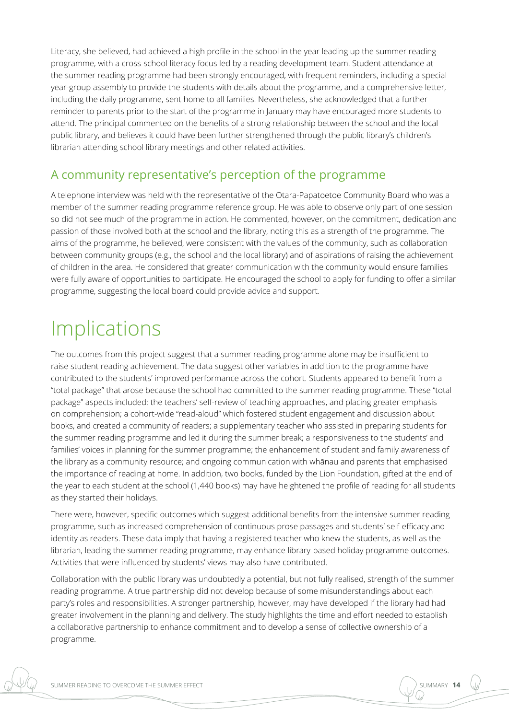Literacy, she believed, had achieved a high profile in the school in the year leading up the summer reading programme, with a cross-school literacy focus led by a reading development team. Student attendance at the summer reading programme had been strongly encouraged, with frequent reminders, including a special year-group assembly to provide the students with details about the programme, and a comprehensive letter, including the daily programme, sent home to all families. Nevertheless, she acknowledged that a further reminder to parents prior to the start of the programme in January may have encouraged more students to attend. The principal commented on the benefits of a strong relationship between the school and the local public library, and believes it could have been further strengthened through the public library's children's librarian attending school library meetings and other related activities.

### A community representative's perception of the programme

A telephone interview was held with the representative of the Otara-Papatoetoe Community Board who was a member of the summer reading programme reference group. He was able to observe only part of one session so did not see much of the programme in action. He commented, however, on the commitment, dedication and passion of those involved both at the school and the library, noting this as a strength of the programme. The aims of the programme, he believed, were consistent with the values of the community, such as collaboration between community groups (e.g., the school and the local library) and of aspirations of raising the achievement of children in the area. He considered that greater communication with the community would ensure families were fully aware of opportunities to participate. He encouraged the school to apply for funding to offer a similar programme, suggesting the local board could provide advice and support.

## **Implications**

The outcomes from this project suggest that a summer reading programme alone may be insufficient to raise student reading achievement. The data suggest other variables in addition to the programme have contributed to the students' improved performance across the cohort. Students appeared to benefit from a "total package" that arose because the school had committed to the summer reading programme. These "total package" aspects included: the teachers' self-review of teaching approaches, and placing greater emphasis on comprehension; a cohort-wide "read-aloud" which fostered student engagement and discussion about books, and created a community of readers; a supplementary teacher who assisted in preparing students for the summer reading programme and led it during the summer break; a responsiveness to the students' and families' voices in planning for the summer programme; the enhancement of student and family awareness of the library as a community resource; and ongoing communication with whānau and parents that emphasised the importance of reading at home. In addition, two books, funded by the Lion Foundation, gifted at the end of the year to each student at the school (1,440 books) may have heightened the profile of reading for all students as they started their holidays.

There were, however, specific outcomes which suggest additional benefits from the intensive summer reading programme, such as increased comprehension of continuous prose passages and students' self-efficacy and identity as readers. These data imply that having a registered teacher who knew the students, as well as the librarian, leading the summer reading programme, may enhance library-based holiday programme outcomes. Activities that were influenced by students' views may also have contributed.

Collaboration with the public library was undoubtedly a potential, but not fully realised, strength of the summer reading programme. A true partnership did not develop because of some misunderstandings about each party's roles and responsibilities. A stronger partnership, however, may have developed if the library had had greater involvement in the planning and delivery. The study highlights the time and effort needed to establish a collaborative partnership to enhance commitment and to develop a sense of collective ownership of a programme.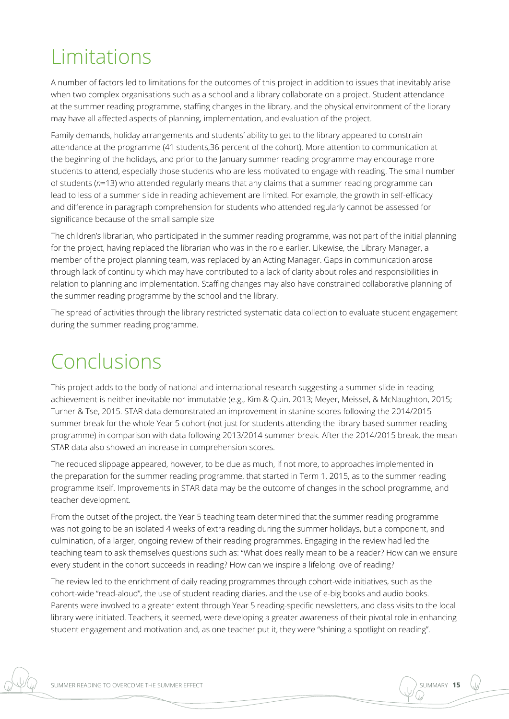## Limitations

A number of factors led to limitations for the outcomes of this project in addition to issues that inevitably arise when two complex organisations such as a school and a library collaborate on a project. Student attendance at the summer reading programme, staffing changes in the library, and the physical environment of the library may have all affected aspects of planning, implementation, and evaluation of the project.

Family demands, holiday arrangements and students' ability to get to the library appeared to constrain attendance at the programme (41 students,36 percent of the cohort). More attention to communication at the beginning of the holidays, and prior to the January summer reading programme may encourage more students to attend, especially those students who are less motivated to engage with reading. The small number of students (*n*=13) who attended regularly means that any claims that a summer reading programme can lead to less of a summer slide in reading achievement are limited. For example, the growth in self-efficacy and difference in paragraph comprehension for students who attended regularly cannot be assessed for significance because of the small sample size

The children's librarian, who participated in the summer reading programme, was not part of the initial planning for the project, having replaced the librarian who was in the role earlier. Likewise, the Library Manager, a member of the project planning team, was replaced by an Acting Manager. Gaps in communication arose through lack of continuity which may have contributed to a lack of clarity about roles and responsibilities in relation to planning and implementation. Staffing changes may also have constrained collaborative planning of the summer reading programme by the school and the library.

The spread of activities through the library restricted systematic data collection to evaluate student engagement during the summer reading programme.

## Conclusions

This project adds to the body of national and international research suggesting a summer slide in reading achievement is neither inevitable nor immutable (e.g., Kim & Quin, 2013; Meyer, Meissel, & McNaughton, 2015; Turner & Tse, 2015. STAR data demonstrated an improvement in stanine scores following the 2014/2015 summer break for the whole Year 5 cohort (not just for students attending the library-based summer reading programme) in comparison with data following 2013/2014 summer break. After the 2014/2015 break, the mean STAR data also showed an increase in comprehension scores.

The reduced slippage appeared, however, to be due as much, if not more, to approaches implemented in the preparation for the summer reading programme, that started in Term 1, 2015, as to the summer reading programme itself. Improvements in STAR data may be the outcome of changes in the school programme, and teacher development.

From the outset of the project, the Year 5 teaching team determined that the summer reading programme was not going to be an isolated 4 weeks of extra reading during the summer holidays, but a component, and culmination, of a larger, ongoing review of their reading programmes. Engaging in the review had led the teaching team to ask themselves questions such as: "What does really mean to be a reader? How can we ensure every student in the cohort succeeds in reading? How can we inspire a lifelong love of reading?

The review led to the enrichment of daily reading programmes through cohort-wide initiatives, such as the cohort-wide "read-aloud", the use of student reading diaries, and the use of e-big books and audio books. Parents were involved to a greater extent through Year 5 reading-specific newsletters, and class visits to the local library were initiated. Teachers, it seemed, were developing a greater awareness of their pivotal role in enhancing student engagement and motivation and, as one teacher put it, they were "shining a spotlight on reading".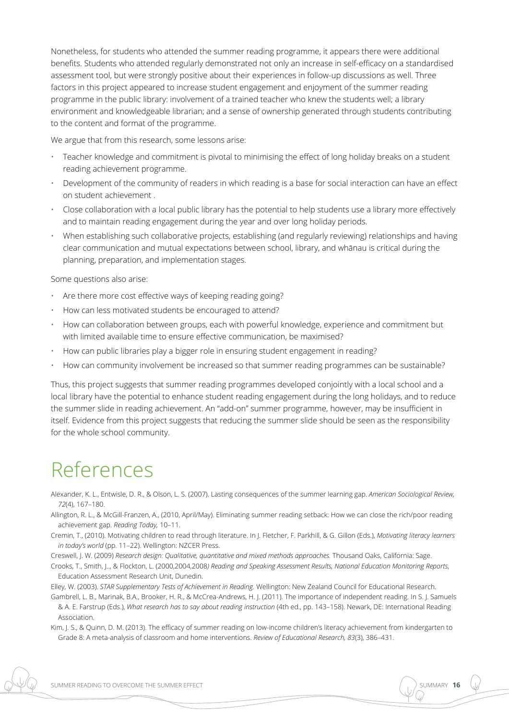Nonetheless, for students who attended the summer reading programme, it appears there were additional benefits. Students who attended regularly demonstrated not only an increase in self-efficacy on a standardised assessment tool, but were strongly positive about their experiences in follow-up discussions as well. Three factors in this project appeared to increase student engagement and enjoyment of the summer reading programme in the public library: involvement of a trained teacher who knew the students well; a library environment and knowledgeable librarian; and a sense of ownership generated through students contributing to the content and format of the programme.

We argue that from this research, some lessons arise:

- Teacher knowledge and commitment is pivotal to minimising the effect of long holiday breaks on a student reading achievement programme.
- Development of the community of readers in which reading is a base for social interaction can have an effect on student achievement .
- Close collaboration with a local public library has the potential to help students use a library more effectively and to maintain reading engagement during the year and over long holiday periods.
- When establishing such collaborative projects, establishing (and regularly reviewing) relationships and having clear communication and mutual expectations between school, library, and whānau is critical during the planning, preparation, and implementation stages.

Some questions also arise:

- Are there more cost effective ways of keeping reading going?
- How can less motivated students be encouraged to attend?
- How can collaboration between groups, each with powerful knowledge, experience and commitment but with limited available time to ensure effective communication, be maximised?
- How can public libraries play a bigger role in ensuring student engagement in reading?
- How can community involvement be increased so that summer reading programmes can be sustainable?

Thus, this project suggests that summer reading programmes developed conjointly with a local school and a local library have the potential to enhance student reading engagement during the long holidays, and to reduce the summer slide in reading achievement. An "add-on" summer programme, however, may be insufficient in itself. Evidence from this project suggests that reducing the summer slide should be seen as the responsibility for the whole school community.

## References

Alexander, K. L., Entwisle, D. R., & Olson, L. S. (2007). Lasting consequences of the summer learning gap. *American Sociological Review, 72*(4), 167–180.

Allington, R. L., & McGill-Franzen, A., (2010, April/May). Eliminating summer reading setback: How we can close the rich/poor reading achievement gap. *Reading Today,* 10–11.

Cremin, T., (2010). Motivating children to read through literature. In J. Fletcher, F. Parkhill, & G. Gillon (Eds.), *Motivating literacy learners in today's world* (pp. 11–22). Wellington: NZCER Press.

Creswell, J. W. (2009) *Research design: Qualitative, quantitative and mixed methods approaches.* Thousand Oaks, California: Sage.

Crooks, T., Smith, J.., & Flockton, L. (2000,2004,2008*) Reading and Speaking Assessment Results, National Education Monitoring Reports*, Education Assessment Research Unit, Dunedin.

Elley, W. (2003). *STAR Supplementary Tests of Achievement in Reading.* Wellington: New Zealand Council for Educational Research.

Gambrell, L. B., Marinak, B.A., Brooker, H. R., & McCrea-Andrews, H. J. (2011). The importance of independent reading. In S. J. Samuels & A. E. Farstrup (Eds.), *What research has to say about reading instruction* (4th ed., pp. 143–158). Newark, DE: International Reading Association.

Kim, J. S., & Quinn, D. M. (2013). The efficacy of summer reading on low-income children's literacy achievement from kindergarten to Grade 8: A meta-analysis of classroom and home interventions. *Review of Educational Research, 83*(3), 386–431.